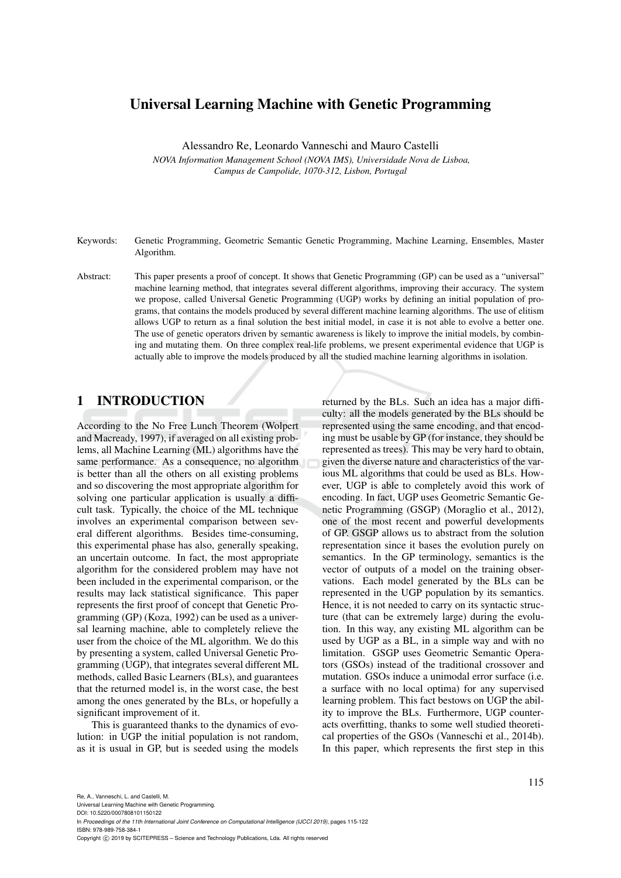## Universal Learning Machine with Genetic Programming

Alessandro Re, Leonardo Vanneschi and Mauro Castelli

*NOVA Information Management School (NOVA IMS), Universidade Nova de Lisboa, Campus de Campolide, 1070-312, Lisbon, Portugal*

- Keywords: Genetic Programming, Geometric Semantic Genetic Programming, Machine Learning, Ensembles, Master Algorithm.
- Abstract: This paper presents a proof of concept. It shows that Genetic Programming (GP) can be used as a "universal" machine learning method, that integrates several different algorithms, improving their accuracy. The system we propose, called Universal Genetic Programming (UGP) works by defining an initial population of programs, that contains the models produced by several different machine learning algorithms. The use of elitism allows UGP to return as a final solution the best initial model, in case it is not able to evolve a better one. The use of genetic operators driven by semantic awareness is likely to improve the initial models, by combining and mutating them. On three complex real-life problems, we present experimental evidence that UGP is actually able to improve the models produced by all the studied machine learning algorithms in isolation.

## 1 INTRODUCTION

According to the No Free Lunch Theorem (Wolpert and Macready, 1997), if averaged on all existing problems, all Machine Learning (ML) algorithms have the same performance. As a consequence, no algorithm is better than all the others on all existing problems and so discovering the most appropriate algorithm for solving one particular application is usually a difficult task. Typically, the choice of the ML technique involves an experimental comparison between several different algorithms. Besides time-consuming, this experimental phase has also, generally speaking, an uncertain outcome. In fact, the most appropriate algorithm for the considered problem may have not been included in the experimental comparison, or the results may lack statistical significance. This paper represents the first proof of concept that Genetic Programming (GP) (Koza, 1992) can be used as a universal learning machine, able to completely relieve the user from the choice of the ML algorithm. We do this by presenting a system, called Universal Genetic Programming (UGP), that integrates several different ML methods, called Basic Learners (BLs), and guarantees that the returned model is, in the worst case, the best among the ones generated by the BLs, or hopefully a significant improvement of it.

This is guaranteed thanks to the dynamics of evolution: in UGP the initial population is not random, as it is usual in GP, but is seeded using the models returned by the BLs. Such an idea has a major difficulty: all the models generated by the BLs should be represented using the same encoding, and that encoding must be usable by GP (for instance, they should be represented as trees). This may be very hard to obtain, given the diverse nature and characteristics of the various ML algorithms that could be used as BLs. However, UGP is able to completely avoid this work of encoding. In fact, UGP uses Geometric Semantic Genetic Programming (GSGP) (Moraglio et al., 2012), one of the most recent and powerful developments of GP. GSGP allows us to abstract from the solution representation since it bases the evolution purely on semantics. In the GP terminology, semantics is the vector of outputs of a model on the training observations. Each model generated by the BLs can be represented in the UGP population by its semantics. Hence, it is not needed to carry on its syntactic structure (that can be extremely large) during the evolution. In this way, any existing ML algorithm can be used by UGP as a BL, in a simple way and with no limitation. GSGP uses Geometric Semantic Operators (GSOs) instead of the traditional crossover and mutation. GSOs induce a unimodal error surface (i.e. a surface with no local optima) for any supervised learning problem. This fact bestows on UGP the ability to improve the BLs. Furthermore, UGP counteracts overfitting, thanks to some well studied theoretical properties of the GSOs (Vanneschi et al., 2014b). In this paper, which represents the first step in this

Universal Learning Machine with Genetic Programming. DOI: 10.5220/0007808101150122 In *Proceedings of the 11th International Joint Conference on Computational Intelligence (IJCCI 2019)*, pages 115-122 ISBN: 978-989-758-384-1 Copyright (C) 2019 by SCITEPRESS - Science and Technology Publications, Lda. All rights reserved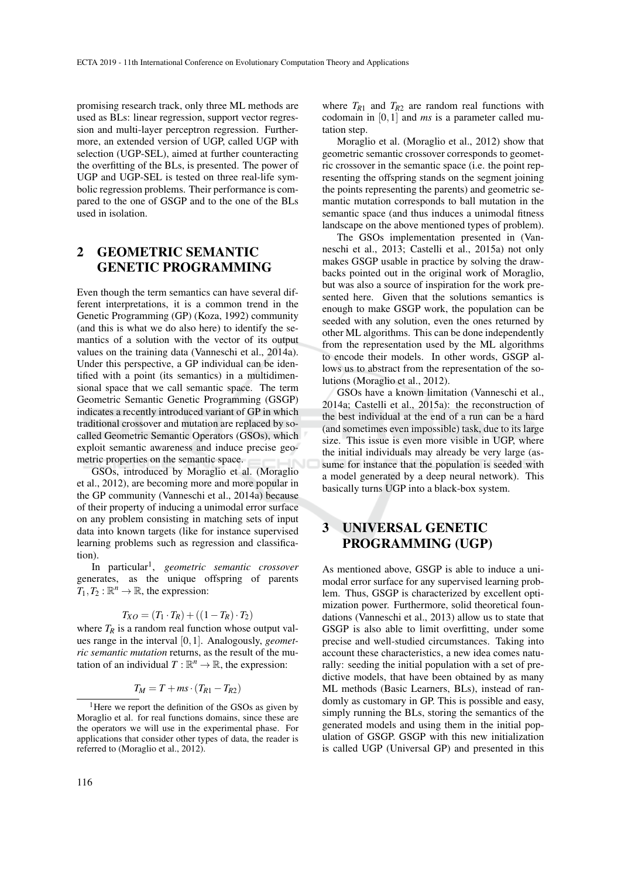promising research track, only three ML methods are used as BLs: linear regression, support vector regression and multi-layer perceptron regression. Furthermore, an extended version of UGP, called UGP with selection (UGP-SEL), aimed at further counteracting the overfitting of the BLs, is presented. The power of UGP and UGP-SEL is tested on three real-life symbolic regression problems. Their performance is compared to the one of GSGP and to the one of the BLs used in isolation.

# 2 GEOMETRIC SEMANTIC GENETIC PROGRAMMING

Even though the term semantics can have several different interpretations, it is a common trend in the Genetic Programming (GP) (Koza, 1992) community (and this is what we do also here) to identify the semantics of a solution with the vector of its output values on the training data (Vanneschi et al., 2014a). Under this perspective, a GP individual can be identified with a point (its semantics) in a multidimensional space that we call semantic space. The term Geometric Semantic Genetic Programming (GSGP) indicates a recently introduced variant of GP in which traditional crossover and mutation are replaced by socalled Geometric Semantic Operators (GSOs), which exploit semantic awareness and induce precise geometric properties on the semantic space.

GSOs, introduced by Moraglio et al. (Moraglio et al., 2012), are becoming more and more popular in the GP community (Vanneschi et al., 2014a) because of their property of inducing a unimodal error surface on any problem consisting in matching sets of input data into known targets (like for instance supervised learning problems such as regression and classification).

In particular<sup>1</sup> , *geometric semantic crossover* generates, as the unique offspring of parents  $T_1, T_2 : \mathbb{R}^n \to \mathbb{R}$ , the expression:

$$
T_{XO} = (T_1 \cdot T_R) + ((1 - T_R) \cdot T_2)
$$

where  $T_R$  is a random real function whose output values range in the interval [0,1]. Analogously, *geometric semantic mutation* returns, as the result of the mutation of an individual  $T : \mathbb{R}^n \to \mathbb{R}$ , the expression:

$$
T_M = T + ms \cdot (T_{R1} - T_{R2})
$$

where  $T_{R1}$  and  $T_{R2}$  are random real functions with codomain in [0,1] and *ms* is a parameter called mutation step.

Moraglio et al. (Moraglio et al., 2012) show that geometric semantic crossover corresponds to geometric crossover in the semantic space (i.e. the point representing the offspring stands on the segment joining the points representing the parents) and geometric semantic mutation corresponds to ball mutation in the semantic space (and thus induces a unimodal fitness landscape on the above mentioned types of problem).

The GSOs implementation presented in (Vanneschi et al., 2013; Castelli et al., 2015a) not only makes GSGP usable in practice by solving the drawbacks pointed out in the original work of Moraglio, but was also a source of inspiration for the work presented here. Given that the solutions semantics is enough to make GSGP work, the population can be seeded with any solution, even the ones returned by other ML algorithms. This can be done independently from the representation used by the ML algorithms to encode their models. In other words, GSGP allows us to abstract from the representation of the solutions (Moraglio et al., 2012).

GSOs have a known limitation (Vanneschi et al., 2014a; Castelli et al., 2015a): the reconstruction of the best individual at the end of a run can be a hard (and sometimes even impossible) task, due to its large size. This issue is even more visible in UGP, where the initial individuals may already be very large (assume for instance that the population is seeded with a model generated by a deep neural network). This basically turns UGP into a black-box system.

## 3 UNIVERSAL GENETIC PROGRAMMING (UGP)

As mentioned above, GSGP is able to induce a unimodal error surface for any supervised learning problem. Thus, GSGP is characterized by excellent optimization power. Furthermore, solid theoretical foundations (Vanneschi et al., 2013) allow us to state that GSGP is also able to limit overfitting, under some precise and well-studied circumstances. Taking into account these characteristics, a new idea comes naturally: seeding the initial population with a set of predictive models, that have been obtained by as many ML methods (Basic Learners, BLs), instead of randomly as customary in GP. This is possible and easy, simply running the BLs, storing the semantics of the generated models and using them in the initial population of GSGP. GSGP with this new initialization is called UGP (Universal GP) and presented in this

<sup>&</sup>lt;sup>1</sup>Here we report the definition of the GSOs as given by Moraglio et al. for real functions domains, since these are the operators we will use in the experimental phase. For applications that consider other types of data, the reader is referred to (Moraglio et al., 2012).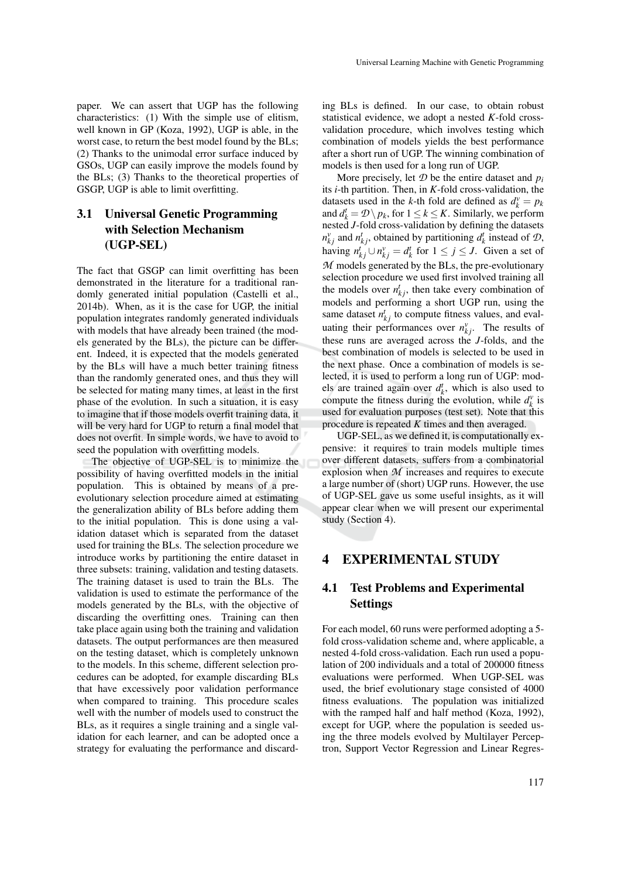paper. We can assert that UGP has the following characteristics: (1) With the simple use of elitism, well known in GP (Koza, 1992), UGP is able, in the worst case, to return the best model found by the BLs; (2) Thanks to the unimodal error surface induced by GSOs, UGP can easily improve the models found by the BLs; (3) Thanks to the theoretical properties of

# 3.1 Universal Genetic Programming with Selection Mechanism (UGP-SEL)

GSGP, UGP is able to limit overfitting.

The fact that GSGP can limit overfitting has been demonstrated in the literature for a traditional randomly generated initial population (Castelli et al., 2014b). When, as it is the case for UGP, the initial population integrates randomly generated individuals with models that have already been trained (the models generated by the BLs), the picture can be different. Indeed, it is expected that the models generated by the BLs will have a much better training fitness than the randomly generated ones, and thus they will be selected for mating many times, at least in the first phase of the evolution. In such a situation, it is easy to imagine that if those models overfit training data, it will be very hard for UGP to return a final model that does not overfit. In simple words, we have to avoid to seed the population with overfitting models.

The objective of UGP-SEL is to minimize the possibility of having overfitted models in the initial population. This is obtained by means of a preevolutionary selection procedure aimed at estimating the generalization ability of BLs before adding them to the initial population. This is done using a validation dataset which is separated from the dataset used for training the BLs. The selection procedure we introduce works by partitioning the entire dataset in three subsets: training, validation and testing datasets. The training dataset is used to train the BLs. The validation is used to estimate the performance of the models generated by the BLs, with the objective of discarding the overfitting ones. Training can then take place again using both the training and validation datasets. The output performances are then measured on the testing dataset, which is completely unknown to the models. In this scheme, different selection procedures can be adopted, for example discarding BLs that have excessively poor validation performance when compared to training. This procedure scales well with the number of models used to construct the BLs, as it requires a single training and a single validation for each learner, and can be adopted once a strategy for evaluating the performance and discarding BLs is defined. In our case, to obtain robust statistical evidence, we adopt a nested *K*-fold crossvalidation procedure, which involves testing which combination of models yields the best performance after a short run of UGP. The winning combination of models is then used for a long run of UGP.

More precisely, let  $D$  be the entire dataset and  $p_i$ its *i*-th partition. Then, in *K*-fold cross-validation, the datasets used in the *k*-th fold are defined as  $d_k^v = p_k$ and  $d_k^t = \mathcal{D} \setminus p_k$ , for  $1 \leq k \leq K$ . Similarly, we perform nested *J*-fold cross-validation by defining the datasets  $n_{kj}^v$  and  $n_{kj}^t$ , obtained by partitioning  $d_k^t$  instead of  $\mathcal{D}$ , having  $n_{kj}^t \cup n_{kj}^v = d_k^t$  for  $1 \le j \le J$ . Given a set of *M* models generated by the BLs, the pre-evolutionary selection procedure we used first involved training all the models over  $n_{kj}^t$ , then take every combination of models and performing a short UGP run, using the same dataset  $n_{kj}^t$  to compute fitness values, and evaluating their performances over  $n_{kj}^v$ . The results of these runs are averaged across the *J*-folds, and the best combination of models is selected to be used in the next phase. Once a combination of models is selected, it is used to perform a long run of UGP: models are trained again over  $d_k^t$ , which is also used to compute the fitness during the evolution, while  $d_k^v$  is used for evaluation purposes (test set). Note that this procedure is repeated *K* times and then averaged.

UGP-SEL, as we defined it, is computationally expensive: it requires to train models multiple times over different datasets, suffers from a combinatorial explosion when *M* increases and requires to execute a large number of (short) UGP runs. However, the use of UGP-SEL gave us some useful insights, as it will appear clear when we will present our experimental study (Section 4).

#### 4 EXPERIMENTAL STUDY

### 4.1 Test Problems and Experimental Settings

For each model, 60 runs were performed adopting a 5 fold cross-validation scheme and, where applicable, a nested 4-fold cross-validation. Each run used a population of 200 individuals and a total of 200000 fitness evaluations were performed. When UGP-SEL was used, the brief evolutionary stage consisted of 4000 fitness evaluations. The population was initialized with the ramped half and half method (Koza, 1992), except for UGP, where the population is seeded using the three models evolved by Multilayer Perceptron, Support Vector Regression and Linear Regres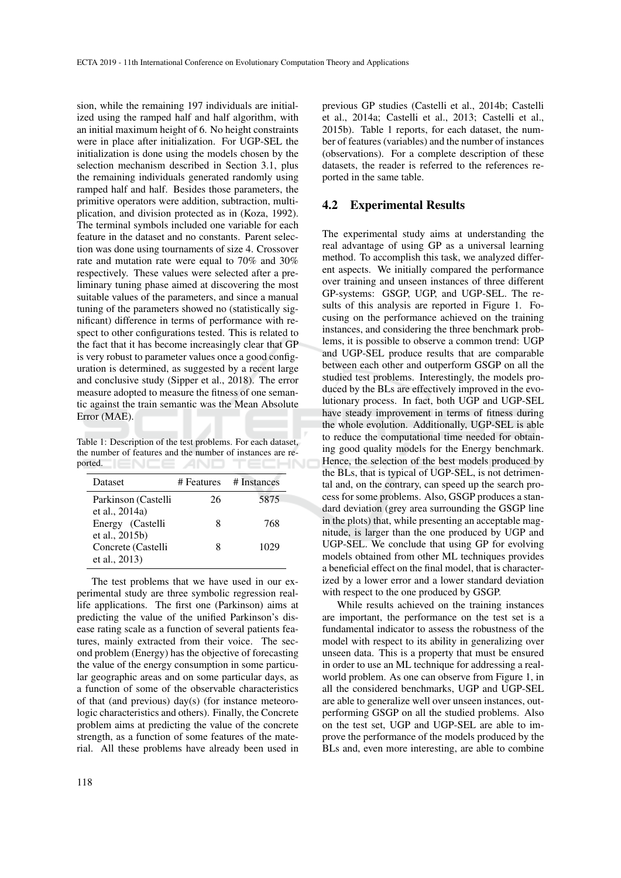sion, while the remaining 197 individuals are initialized using the ramped half and half algorithm, with an initial maximum height of 6. No height constraints were in place after initialization. For UGP-SEL the initialization is done using the models chosen by the selection mechanism described in Section 3.1, plus the remaining individuals generated randomly using ramped half and half. Besides those parameters, the primitive operators were addition, subtraction, multiplication, and division protected as in (Koza, 1992). The terminal symbols included one variable for each feature in the dataset and no constants. Parent selection was done using tournaments of size 4. Crossover rate and mutation rate were equal to 70% and 30% respectively. These values were selected after a preliminary tuning phase aimed at discovering the most suitable values of the parameters, and since a manual tuning of the parameters showed no (statistically significant) difference in terms of performance with respect to other configurations tested. This is related to the fact that it has become increasingly clear that GP is very robust to parameter values once a good configuration is determined, as suggested by a recent large and conclusive study (Sipper et al., 2018). The error measure adopted to measure the fitness of one semantic against the train semantic was the Mean Absolute Error (MAE).

Table 1: Description of the test problems. For each dataset, the number of features and the number of instances are re-TECHNO ported.  $\blacksquare \blacksquare \blacksquare \blacksquare \blacksquare \blacksquare \blacksquare \blacksquare \blacksquare \blacksquare$ 

| <b>Dataset</b>                        | # Features | # Instances |
|---------------------------------------|------------|-------------|
| Parkinson (Castelli<br>et al., 2014a) | 26         | 5875        |
| Energy (Castelli<br>et al., 2015b)    | 8          | 768         |
| Concrete (Castelli<br>et al., 2013)   | 8          | 1029        |

The test problems that we have used in our experimental study are three symbolic regression reallife applications. The first one (Parkinson) aims at predicting the value of the unified Parkinson's disease rating scale as a function of several patients features, mainly extracted from their voice. The second problem (Energy) has the objective of forecasting the value of the energy consumption in some particular geographic areas and on some particular days, as a function of some of the observable characteristics of that (and previous) day(s) (for instance meteorologic characteristics and others). Finally, the Concrete problem aims at predicting the value of the concrete strength, as a function of some features of the material. All these problems have already been used in

previous GP studies (Castelli et al., 2014b; Castelli et al., 2014a; Castelli et al., 2013; Castelli et al., 2015b). Table 1 reports, for each dataset, the number of features (variables) and the number of instances (observations). For a complete description of these datasets, the reader is referred to the references reported in the same table.

#### 4.2 Experimental Results

The experimental study aims at understanding the real advantage of using GP as a universal learning method. To accomplish this task, we analyzed different aspects. We initially compared the performance over training and unseen instances of three different GP-systems: GSGP, UGP, and UGP-SEL. The results of this analysis are reported in Figure 1. Focusing on the performance achieved on the training instances, and considering the three benchmark problems, it is possible to observe a common trend: UGP and UGP-SEL produce results that are comparable between each other and outperform GSGP on all the studied test problems. Interestingly, the models produced by the BLs are effectively improved in the evolutionary process. In fact, both UGP and UGP-SEL have steady improvement in terms of fitness during the whole evolution. Additionally, UGP-SEL is able to reduce the computational time needed for obtaining good quality models for the Energy benchmark. Hence, the selection of the best models produced by the BLs, that is typical of UGP-SEL, is not detrimental and, on the contrary, can speed up the search process for some problems. Also, GSGP produces a standard deviation (grey area surrounding the GSGP line in the plots) that, while presenting an acceptable magnitude, is larger than the one produced by UGP and UGP-SEL. We conclude that using GP for evolving models obtained from other ML techniques provides a beneficial effect on the final model, that is characterized by a lower error and a lower standard deviation with respect to the one produced by GSGP.

While results achieved on the training instances are important, the performance on the test set is a fundamental indicator to assess the robustness of the model with respect to its ability in generalizing over unseen data. This is a property that must be ensured in order to use an ML technique for addressing a realworld problem. As one can observe from Figure 1, in all the considered benchmarks, UGP and UGP-SEL are able to generalize well over unseen instances, outperforming GSGP on all the studied problems. Also on the test set, UGP and UGP-SEL are able to improve the performance of the models produced by the BLs and, even more interesting, are able to combine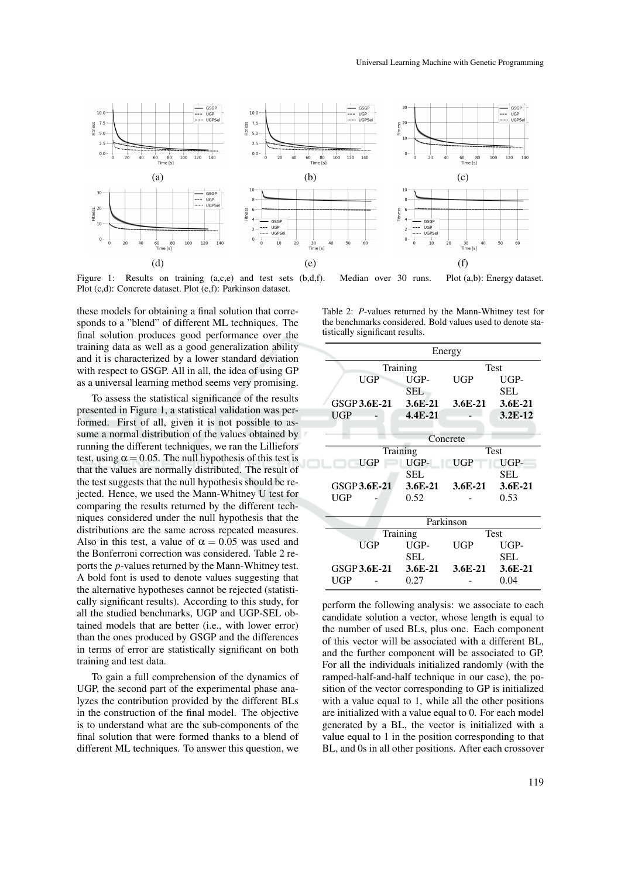

Figure 1: Results on training (a,c,e) and test sets (b,d,f). Median over 30 runs. Plot (a,b): Energy dataset. Plot (c,d): Concrete dataset. Plot (e,f): Parkinson dataset.

these models for obtaining a final solution that corresponds to a "blend" of different ML techniques. The final solution produces good performance over the training data as well as a good generalization ability and it is characterized by a lower standard deviation with respect to GSGP. All in all, the idea of using GP as a universal learning method seems very promising.

To assess the statistical significance of the results presented in Figure 1, a statistical validation was performed. First of all, given it is not possible to assume a normal distribution of the values obtained by running the different techniques, we ran the Lilliefors test, using  $\alpha = 0.05$ . The null hypothesis of this test is that the values are normally distributed. The result of the test suggests that the null hypothesis should be rejected. Hence, we used the Mann-Whitney U test for comparing the results returned by the different techniques considered under the null hypothesis that the distributions are the same across repeated measures. Also in this test, a value of  $\alpha = 0.05$  was used and the Bonferroni correction was considered. Table 2 reports the *p*-values returned by the Mann-Whitney test. A bold font is used to denote values suggesting that the alternative hypotheses cannot be rejected (statistically significant results). According to this study, for all the studied benchmarks, UGP and UGP-SEL obtained models that are better (i.e., with lower error) than the ones produced by GSGP and the differences in terms of error are statistically significant on both training and test data.

To gain a full comprehension of the dynamics of UGP, the second part of the experimental phase analyzes the contribution provided by the different BLs in the construction of the final model. The objective is to understand what are the sub-components of the final solution that were formed thanks to a blend of different ML techniques. To answer this question, we

Table 2: *P*-values returned by the Mann-Whitney test for the benchmarks considered. Bold values used to denote statistically significant results.

| Energy       |             |            |             |  |
|--------------|-------------|------------|-------------|--|
|              | Training    |            | <b>Test</b> |  |
| UGP          | UGP-        | UGP        | UGP-        |  |
|              | SEL         |            | SEL         |  |
| GSGP 3.6E-21 | $3.6E-21$   | $3.6E-21$  | 3.6E-21     |  |
| UGP          | $4.4E - 21$ |            | $3.2E-12$   |  |
|              |             |            |             |  |
| Concrete     |             |            |             |  |
|              | Training    |            | <b>Test</b> |  |
| UGP          | UGP-        | <b>UGP</b> | UGP-        |  |
|              | <b>SEL</b>  |            | SEL         |  |
| GSGP 3.6E-21 | 3.6E-21     | $3.6E-21$  | $3.6E - 21$ |  |
| UGP          | 0.52        |            | 0.53        |  |
|              |             |            |             |  |
| Parkinson    |             |            |             |  |
|              | Training    |            | <b>Test</b> |  |
| UGP          | UGP-        | UGP        | UGP-        |  |
|              | SEL         |            | <b>SEL</b>  |  |
| GSGP 3.6E-21 | $3.6E-21$   | $3.6E-21$  | 3.6E-21     |  |
| UGP          | 0.27        |            | 0.04        |  |

perform the following analysis: we associate to each candidate solution a vector, whose length is equal to the number of used BLs, plus one. Each component of this vector will be associated with a different BL, and the further component will be associated to GP. For all the individuals initialized randomly (with the ramped-half-and-half technique in our case), the position of the vector corresponding to GP is initialized with a value equal to 1, while all the other positions are initialized with a value equal to 0. For each model generated by a BL, the vector is initialized with a value equal to 1 in the position corresponding to that BL, and 0s in all other positions. After each crossover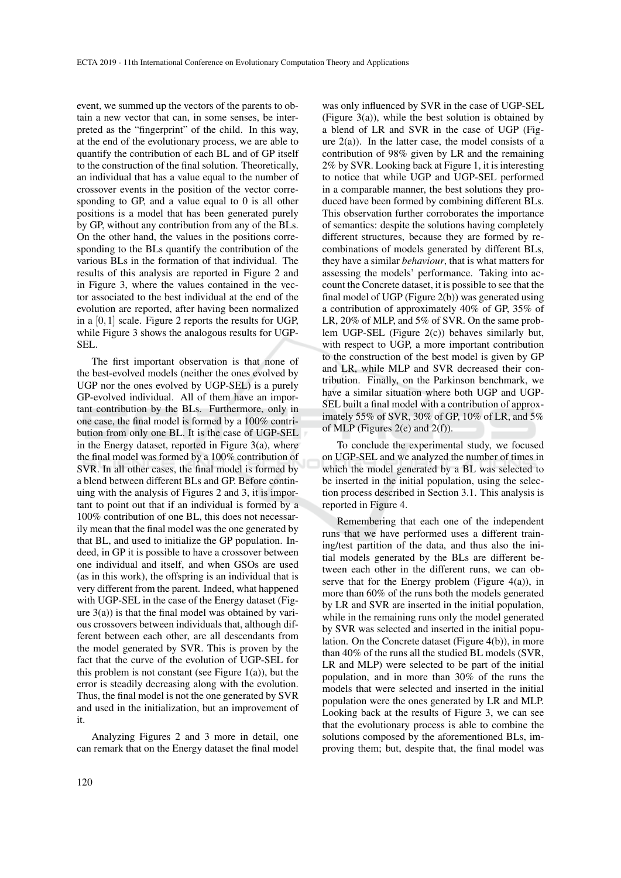event, we summed up the vectors of the parents to obtain a new vector that can, in some senses, be interpreted as the "fingerprint" of the child. In this way, at the end of the evolutionary process, we are able to quantify the contribution of each BL and of GP itself to the construction of the final solution. Theoretically, an individual that has a value equal to the number of crossover events in the position of the vector corresponding to GP, and a value equal to 0 is all other positions is a model that has been generated purely by GP, without any contribution from any of the BLs. On the other hand, the values in the positions corresponding to the BLs quantify the contribution of the various BLs in the formation of that individual. The results of this analysis are reported in Figure 2 and in Figure 3, where the values contained in the vector associated to the best individual at the end of the evolution are reported, after having been normalized in a  $[0,1]$  scale. Figure 2 reports the results for UGP, while Figure 3 shows the analogous results for UGP-SEL.

The first important observation is that none of the best-evolved models (neither the ones evolved by UGP nor the ones evolved by UGP-SEL) is a purely GP-evolved individual. All of them have an important contribution by the BLs. Furthermore, only in one case, the final model is formed by a 100% contribution from only one BL. It is the case of UGP-SEL in the Energy dataset, reported in Figure 3(a), where the final model was formed by a 100% contribution of SVR. In all other cases, the final model is formed by a blend between different BLs and GP. Before continuing with the analysis of Figures 2 and 3, it is important to point out that if an individual is formed by a 100% contribution of one BL, this does not necessarily mean that the final model was the one generated by that BL, and used to initialize the GP population. Indeed, in GP it is possible to have a crossover between one individual and itself, and when GSOs are used (as in this work), the offspring is an individual that is very different from the parent. Indeed, what happened with UGP-SEL in the case of the Energy dataset (Figure  $3(a)$ ) is that the final model was obtained by various crossovers between individuals that, although different between each other, are all descendants from the model generated by SVR. This is proven by the fact that the curve of the evolution of UGP-SEL for this problem is not constant (see Figure  $1(a)$ ), but the error is steadily decreasing along with the evolution. Thus, the final model is not the one generated by SVR and used in the initialization, but an improvement of it.

Analyzing Figures 2 and 3 more in detail, one can remark that on the Energy dataset the final model

was only influenced by SVR in the case of UGP-SEL (Figure 3(a)), while the best solution is obtained by a blend of LR and SVR in the case of UGP (Figure  $2(a)$ ). In the latter case, the model consists of a contribution of 98% given by LR and the remaining 2% by SVR. Looking back at Figure 1, it is interesting to notice that while UGP and UGP-SEL performed in a comparable manner, the best solutions they produced have been formed by combining different BLs. This observation further corroborates the importance of semantics: despite the solutions having completely different structures, because they are formed by recombinations of models generated by different BLs, they have a similar *behaviour*, that is what matters for assessing the models' performance. Taking into account the Concrete dataset, it is possible to see that the final model of UGP (Figure 2(b)) was generated using a contribution of approximately 40% of GP, 35% of LR, 20% of MLP, and 5% of SVR. On the same problem UGP-SEL (Figure 2(c)) behaves similarly but, with respect to UGP, a more important contribution to the construction of the best model is given by GP and LR, while MLP and SVR decreased their contribution. Finally, on the Parkinson benchmark, we have a similar situation where both UGP and UGP-SEL built a final model with a contribution of approximately 55% of SVR, 30% of GP, 10% of LR, and 5% of MLP (Figures  $2(e)$  and  $2(f)$ ).

To conclude the experimental study, we focused on UGP-SEL and we analyzed the number of times in which the model generated by a BL was selected to be inserted in the initial population, using the selection process described in Section 3.1. This analysis is reported in Figure 4.

Remembering that each one of the independent runs that we have performed uses a different training/test partition of the data, and thus also the initial models generated by the BLs are different between each other in the different runs, we can observe that for the Energy problem (Figure  $4(a)$ ), in more than 60% of the runs both the models generated by LR and SVR are inserted in the initial population, while in the remaining runs only the model generated by SVR was selected and inserted in the initial population. On the Concrete dataset (Figure 4(b)), in more than 40% of the runs all the studied BL models (SVR, LR and MLP) were selected to be part of the initial population, and in more than 30% of the runs the models that were selected and inserted in the initial population were the ones generated by LR and MLP. Looking back at the results of Figure 3, we can see that the evolutionary process is able to combine the solutions composed by the aforementioned BLs, improving them; but, despite that, the final model was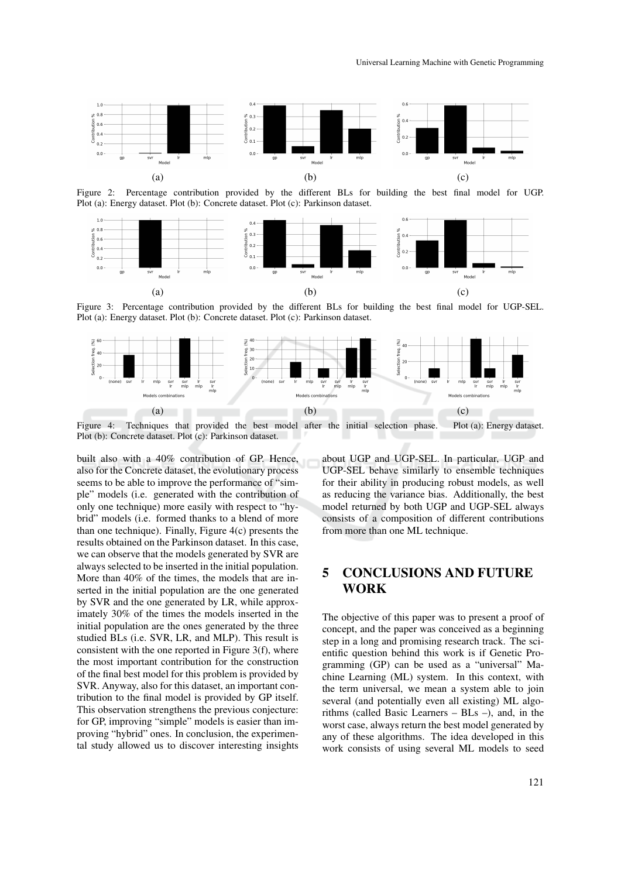

Figure 2: Percentage contribution provided by the different BLs for building the best final model for UGP. Plot (a): Energy dataset. Plot (b): Concrete dataset. Plot (c): Parkinson dataset.



Figure 3: Percentage contribution provided by the different BLs for building the best final model for UGP-SEL. Plot (a): Energy dataset. Plot (b): Concrete dataset. Plot (c): Parkinson dataset.



Plot (b): Concrete dataset. Plot (c): Parkinson dataset.

built also with a 40% contribution of GP. Hence, also for the Concrete dataset, the evolutionary process seems to be able to improve the performance of "simple" models (i.e. generated with the contribution of only one technique) more easily with respect to "hybrid" models (i.e. formed thanks to a blend of more than one technique). Finally, Figure 4(c) presents the results obtained on the Parkinson dataset. In this case, we can observe that the models generated by SVR are always selected to be inserted in the initial population. More than 40% of the times, the models that are inserted in the initial population are the one generated by SVR and the one generated by LR, while approximately 30% of the times the models inserted in the initial population are the ones generated by the three studied BLs (i.e. SVR, LR, and MLP). This result is consistent with the one reported in Figure 3(f), where the most important contribution for the construction of the final best model for this problem is provided by SVR. Anyway, also for this dataset, an important contribution to the final model is provided by GP itself. This observation strengthens the previous conjecture: for GP, improving "simple" models is easier than improving "hybrid" ones. In conclusion, the experimental study allowed us to discover interesting insights

about UGP and UGP-SEL. In particular, UGP and UGP-SEL behave similarly to ensemble techniques for their ability in producing robust models, as well as reducing the variance bias. Additionally, the best model returned by both UGP and UGP-SEL always consists of a composition of different contributions from more than one ML technique.

### 5 CONCLUSIONS AND FUTURE WORK

The objective of this paper was to present a proof of concept, and the paper was conceived as a beginning step in a long and promising research track. The scientific question behind this work is if Genetic Programming (GP) can be used as a "universal" Machine Learning (ML) system. In this context, with the term universal, we mean a system able to join several (and potentially even all existing) ML algorithms (called Basic Learners – BLs –), and, in the worst case, always return the best model generated by any of these algorithms. The idea developed in this work consists of using several ML models to seed